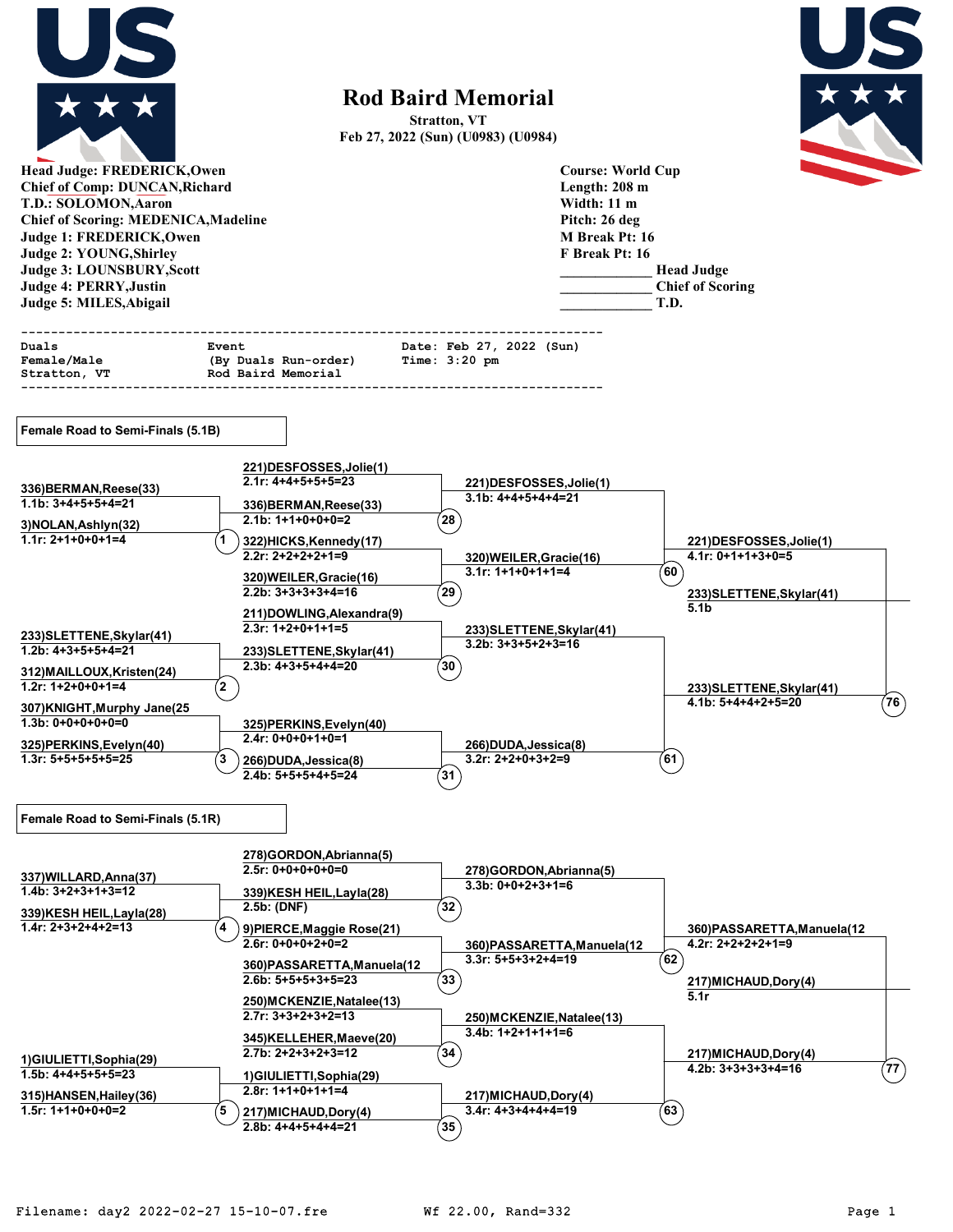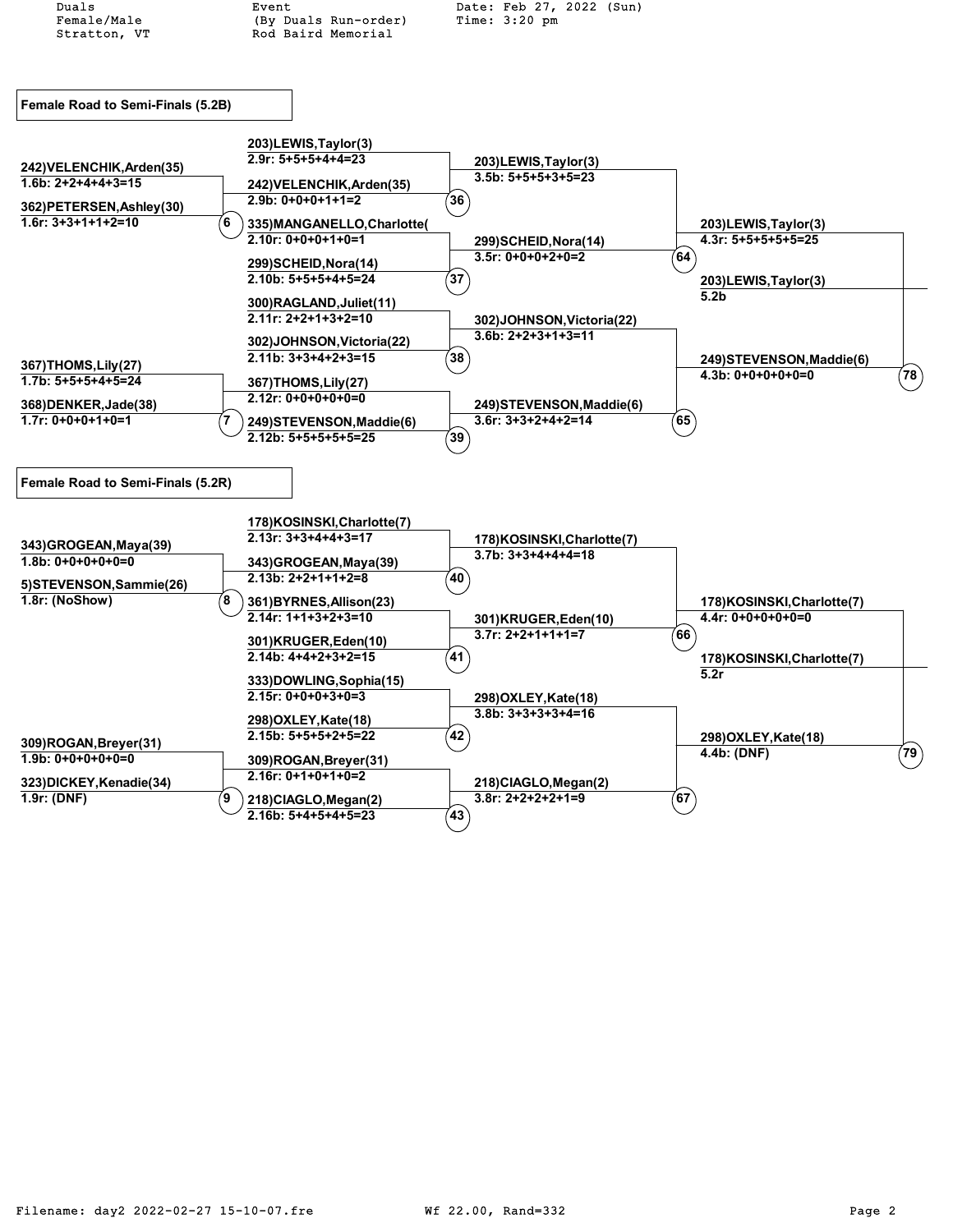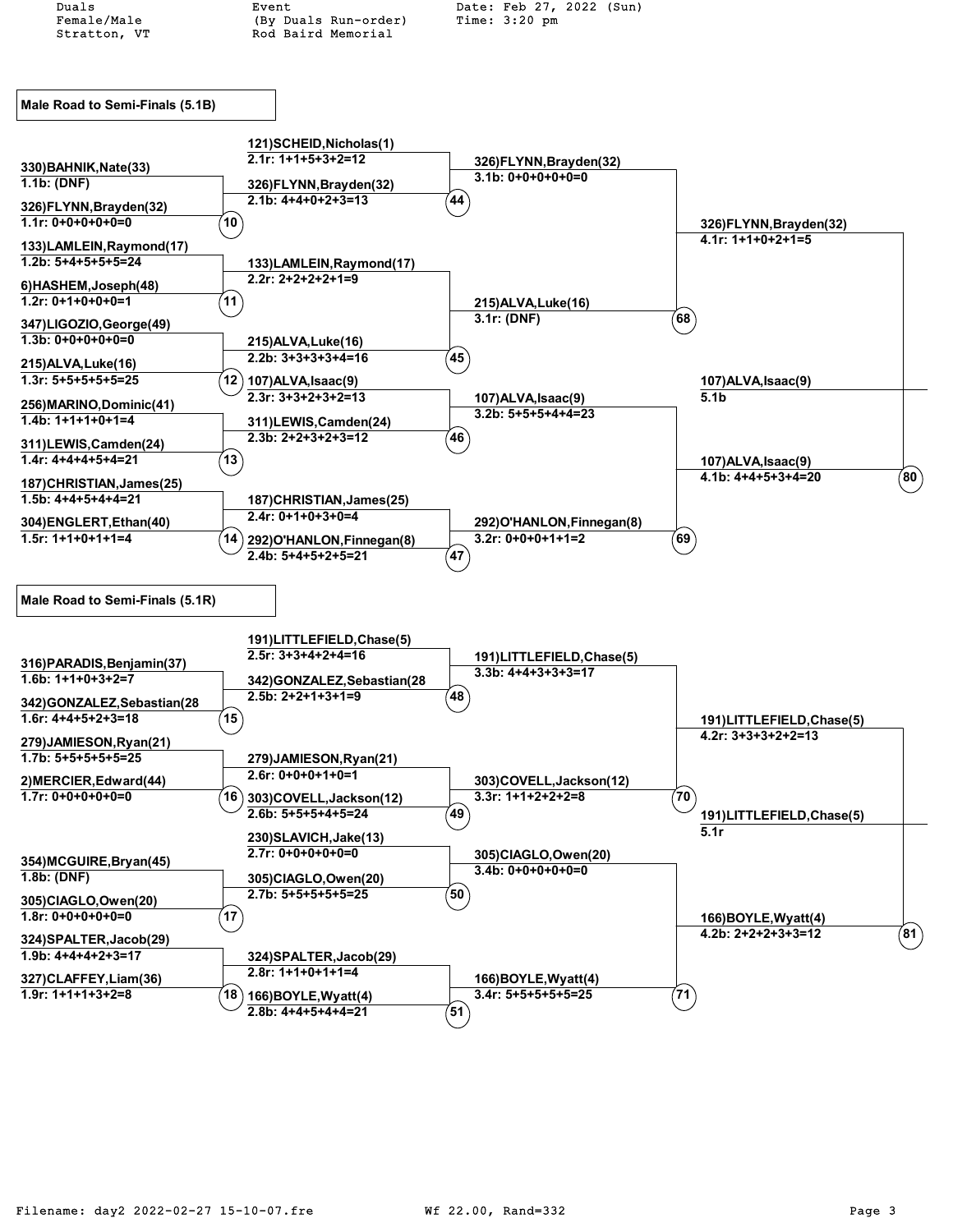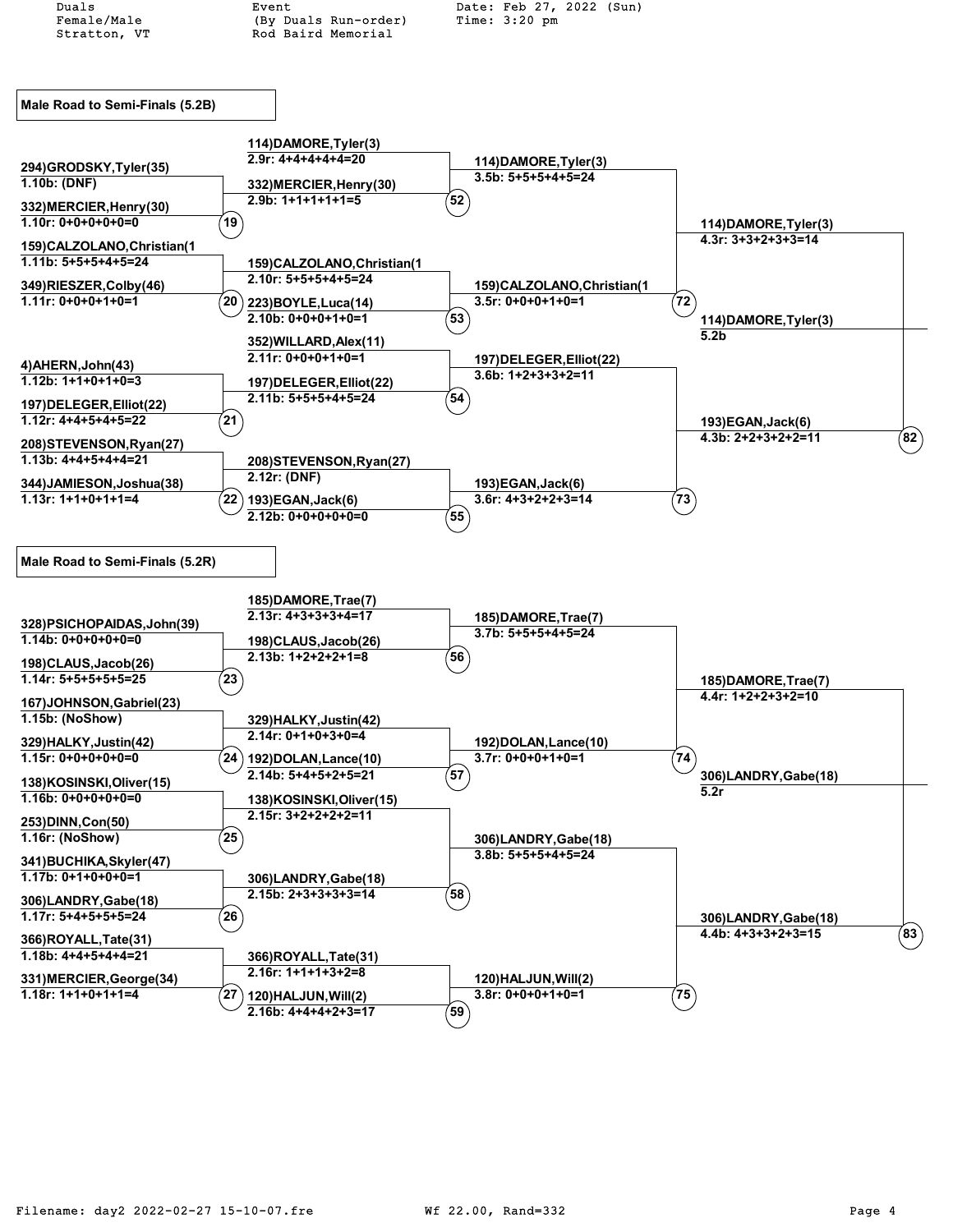